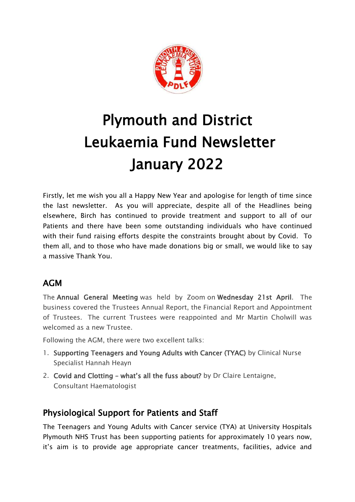

# Plymouth and District Leukaemia Fund Newsletter January 2022

Firstly, let me wish you all a Happy New Year and apologise for length of time since the last newsletter. As you will appreciate, despite all of the Headlines being elsewhere, Birch has continued to provide treatment and support to all of our Patients and there have been some outstanding individuals who have continued with their fund raising efforts despite the constraints brought about by Covid. To them all, and to those who have made donations big or small, we would like to say a massive Thank You.

## AGM

The Annual General Meeting was held by Zoom on Wednesday 21st April. The business covered the Trustees Annual Report, the Financial Report and Appointment of Trustees. The current Trustees were reappointed and Mr Martin Cholwill was welcomed as a new Trustee.

Following the AGM, there were two excellent talks:

- 1. Supporting Teenagers and Young Adults with Cancer (TYAC) by Clinical Nurse Specialist Hannah Heayn
- 2. Covid and Clotting what's all the fuss about? by Dr Claire Lentaigne, Consultant Haematologist

## Physiological Support for Patients and Staff

The Teenagers and Young Adults with Cancer service (TYA) at University Hospitals Plymouth NHS Trust has been supporting patients for approximately 10 years now, it's aim is to provide age appropriate cancer treatments, facilities, advice and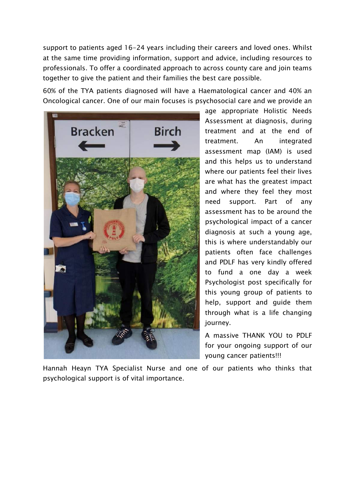support to patients aged 16-24 years including their careers and loved ones. Whilst at the same time providing information, support and advice, including resources to professionals. To offer a coordinated approach to across county care and join teams together to give the patient and their families the best care possible.

60% of the TYA patients diagnosed will have a Haematological cancer and 40% an Oncological cancer. One of our main focuses is psychosocial care and we provide an



age appropriate Holistic Needs Assessment at diagnosis, during treatment and at the end of treatment. An integrated assessment map (IAM) is used and this helps us to understand where our patients feel their lives are what has the greatest impact and where they feel they most need support. Part of any assessment has to be around the psychological impact of a cancer diagnosis at such a young age, this is where understandably our patients often face challenges and PDLF has very kindly offered to fund a one day a week Psychologist post specifically for this young group of patients to help, support and guide them through what is a life changing journey.

A massive THANK YOU to PDLF for your ongoing support of our young cancer patients!!!

Hannah Heayn TYA Specialist Nurse and one of our patients who thinks that psychological support is of vital importance.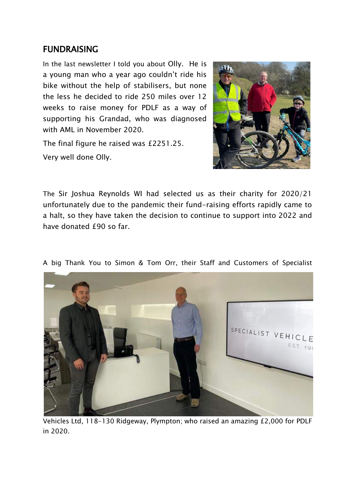#### FUNDRAISING

In the last newsletter I told you about Olly. He is a young man who a year ago couldn't ride his bike without the help of stabilisers, but none the less he decided to ride 250 miles over 12 weeks to raise money for PDLF as a way of supporting his Grandad, who was diagnosed with AML in November 2020.

The final figure he raised was £2251.25. Very well done Olly.



The Sir Joshua Reynolds WI had selected us as their charity for 2020/21 unfortunately due to the pandemic their fund-raising efforts rapidly came to a halt, so they have taken the decision to continue to support into 2022 and have donated £90 so far.



A big Thank You to Simon & Tom Orr, their Staff and Customers of Specialist

Vehicles Ltd, 118-130 Ridgeway, Plympton; who raised an amazing £2,000 for PDLF in 2020.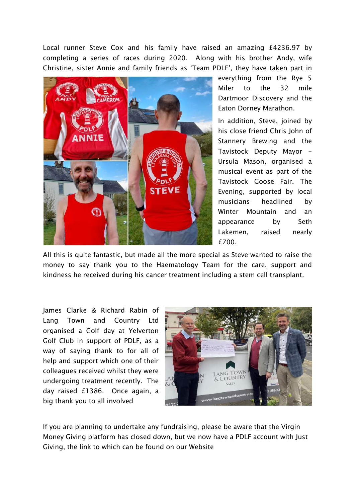Local runner Steve Cox and his family have raised an amazing £4236.97 by completing a series of races during 2020. Along with his brother Andy, wife Christine, sister Annie and family friends as 'Team PDLF', they have taken part in



everything from the Rye 5 Miler to the 32 mile Dartmoor Discovery and the Eaton Dorney Marathon.

In addition, Steve, joined by his close friend Chris John of Stannery Brewing and the Tavistock Deputy Mayor -Ursula Mason, organised a musical event as part of the Tavistock Goose Fair. The Evening, supported by local musicians headlined by Winter Mountain and an appearance by Seth Lakemen, raised nearly £700.

All this is quite fantastic, but made all the more special as Steve wanted to raise the money to say thank you to the Haematology Team for the care, support and kindness he received during his cancer treatment including a stem cell transplant.

James Clarke & Richard Rabin of Lang Town and Country Ltd organised a Golf day at Yelverton Golf Club in support of PDLF, as a way of saying thank to for all of help and support which one of their colleagues received whilst they were undergoing treatment recently. The day raised £1386. Once again, a big thank you to all involved



If you are planning to undertake any fundraising, please be aware that the Virgin Money Giving platform has closed down, but we now have a PDLF account with Just Giving, the link to which can be found on our Website